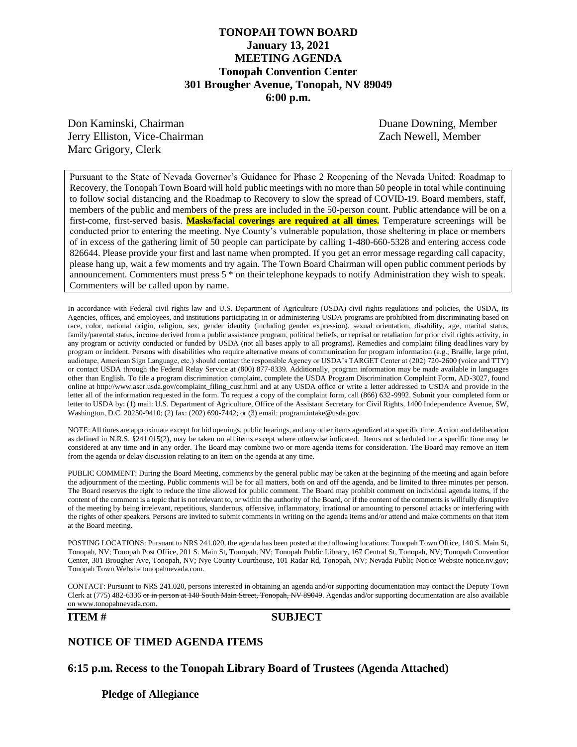## **TONOPAH TOWN BOARD January 13, 2021 MEETING AGENDA Tonopah Convention Center 301 Brougher Avenue, Tonopah, NV 89049 6:00 p.m.**

Don Kaminski, Chairman Duane Downing, Member Jerry Elliston, Vice-Chairman Zach Newell, Member Marc Grigory, Clerk

Pursuant to the State of Nevada Governor's Guidance for Phase 2 Reopening of the Nevada United: Roadmap to Recovery, the Tonopah Town Board will hold public meetings with no more than 50 people in total while continuing to follow social distancing and the Roadmap to Recovery to slow the spread of COVID-19. Board members, staff, members of the public and members of the press are included in the 50-person count. Public attendance will be on a first-come, first-served basis. **Masks/facial coverings are required at all times.** Temperature screenings will be conducted prior to entering the meeting. Nye County's vulnerable population, those sheltering in place or members of in excess of the gathering limit of 50 people can participate by calling 1-480-660-5328 and entering access code 826644. Please provide your first and last name when prompted. If you get an error message regarding call capacity, please hang up, wait a few moments and try again. The Town Board Chairman will open public comment periods by announcement. Commenters must press 5 \* on their telephone keypads to notify Administration they wish to speak. Commenters will be called upon by name.

In accordance with Federal civil rights law and U.S. Department of Agriculture (USDA) civil rights regulations and policies, the USDA, its Agencies, offices, and employees, and institutions participating in or administering USDA programs are prohibited from discriminating based on race, color, national origin, religion, sex, gender identity (including gender expression), sexual orientation, disability, age, marital status, family/parental status, income derived from a public assistance program, political beliefs, or reprisal or retaliation for prior civil rights activity, in any program or activity conducted or funded by USDA (not all bases apply to all programs). Remedies and complaint filing deadlines vary by program or incident. Persons with disabilities who require alternative means of communication for program information (e.g., Braille, large print, audiotape, American Sign Language, etc.) should contact the responsible Agency or USDA's TARGET Center at (202) 720-2600 (voice and TTY) or contact USDA through the Federal Relay Service at (800) 877-8339. Additionally, program information may be made available in languages other than English. To file a program discrimination complaint, complete the USDA Program Discrimination Complaint Form, AD-3027, found online at http://www.ascr.usda.gov/complaint\_filing\_cust.html and at any USDA office or write a letter addressed to USDA and provide in the letter all of the information requested in the form. To request a copy of the complaint form, call (866) 632-9992. Submit your completed form or letter to USDA by: (1) mail: U.S. Department of Agriculture, Office of the Assistant Secretary for Civil Rights, 1400 Independence Avenue, SW, Washington, D.C. 20250-9410; (2) fax: (202) 690-7442; or (3) email: program.intake@usda.gov.

NOTE: All times are approximate except for bid openings, public hearings, and any other items agendized at a specific time. Action and deliberation as defined in N.R.S. §241.015(2), may be taken on all items except where otherwise indicated. Items not scheduled for a specific time may be considered at any time and in any order. The Board may combine two or more agenda items for consideration. The Board may remove an item from the agenda or delay discussion relating to an item on the agenda at any time.

PUBLIC COMMENT: During the Board Meeting, comments by the general public may be taken at the beginning of the meeting and again before the adjournment of the meeting. Public comments will be for all matters, both on and off the agenda, and be limited to three minutes per person. The Board reserves the right to reduce the time allowed for public comment. The Board may prohibit comment on individual agenda items, if the content of the comment is a topic that is not relevant to, or within the authority of the Board, or if the content of the comments is willfully disruptive of the meeting by being irrelevant, repetitious, slanderous, offensive, inflammatory, irrational or amounting to personal attacks or interfering with the rights of other speakers. Persons are invited to submit comments in writing on the agenda items and/or attend and make comments on that item at the Board meeting.

POSTING LOCATIONS: Pursuant to NRS 241.020, the agenda has been posted at the following locations: Tonopah Town Office, 140 S. Main St, Tonopah, NV; Tonopah Post Office, 201 S. Main St, Tonopah, NV; Tonopah Public Library, 167 Central St, Tonopah, NV; Tonopah Convention Center, 301 Brougher Ave, Tonopah, NV; Nye County Courthouse, 101 Radar Rd, Tonopah, NV; Nevada Public Notice Website notice.nv.gov; Tonopah Town Website tonopahnevada.com.

CONTACT: Pursuant to NRS 241.020, persons interested in obtaining an agenda and/or supporting documentation may contact the Deputy Town Clerk at (775) 482-6336 or in person at 140 South Main Street, Tonopah, NV 89049. Agendas and/or supporting documentation are also available on www.tonopahnevada.com.

### **ITEM # SUBJECT**

## **NOTICE OF TIMED AGENDA ITEMS**

**6:15 p.m. Recess to the Tonopah Library Board of Trustees (Agenda Attached)**

**Pledge of Allegiance**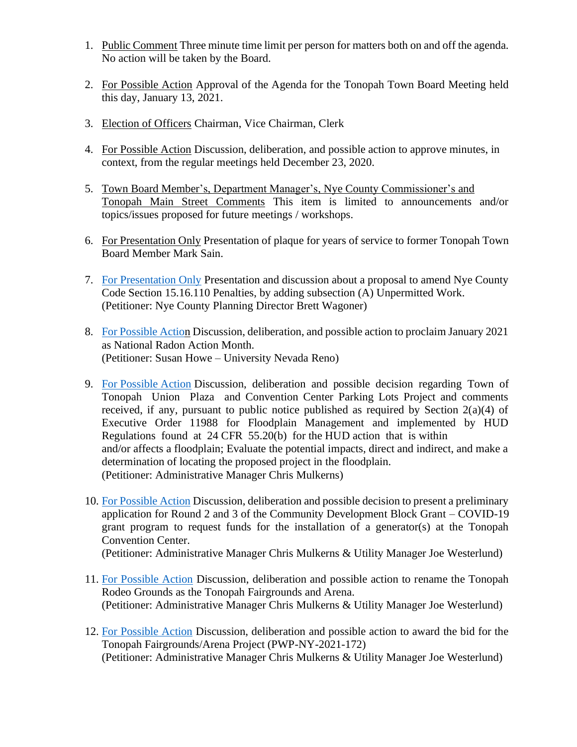- 1. Public Comment Three minute time limit per person for matters both on and off the agenda. No action will be taken by the Board.
- 2. For Possible Action Approval of the Agenda for the Tonopah Town Board Meeting held this day, January 13, 2021.
- 3. Election of Officers Chairman, Vice Chairman, Clerk
- 4. For Possible Action Discussion, deliberation, and possible action to approve minutes, in context, from the regular meetings held December 23, 2020.
- 5. Town Board Member's, Department Manager's, Nye County Commissioner's and Tonopah Main Street Comments This item is limited to announcements and/or topics/issues proposed for future meetings / workshops.
- 6. For Presentation Only Presentation of plaque for years of service to former Tonopah Town Board Member Mark Sain.
- 7. [For Presentation Only](https://www.tonopahnevada.com/agendas/backup-2021/1-13-2021-item-7.pdf) Presentation and discussion about a proposal to amend Nye County Code Section 15.16.110 Penalties, by adding subsection (A) Unpermitted Work. (Petitioner: Nye County Planning Director Brett Wagoner)
- 8. [For Possible Action](https://www.tonopahnevada.com/agendas/backup-2021/1-13-2021-item-8.pdf) Discussion, deliberation, and possible action to proclaim January 2021 as National Radon Action Month. (Petitioner: Susan Howe – University Nevada Reno)
- 9. [For Possible Action](https://www.tonopahnevada.com/agendas/backup-2021/1-13-2021-item-9.pdf) Discussion, deliberation and possible decision regarding Town of Tonopah Union Plaza and Convention Center Parking Lots Project and comments received, if any, pursuant to public notice published as required by Section  $2(a)(4)$  of Executive Order 11988 for Floodplain Management and implemented by HUD Regulations found at 24 CFR 55.20(b) for the HUD action that is within and/or affects a floodplain; Evaluate the potential impacts, direct and indirect, and make a determination of locating the proposed project in the floodplain. (Petitioner: Administrative Manager Chris Mulkerns)
- 10. [For Possible Action](https://www.tonopahnevada.com/agendas/backup-2021/1-13-2021-item-10.pdf) Discussion, deliberation and possible decision to present a preliminary application for Round 2 and 3 of the Community Development Block Grant – COVID-19 grant program to request funds for the installation of a generator(s) at the Tonopah Convention Center.

(Petitioner: Administrative Manager Chris Mulkerns & Utility Manager Joe Westerlund)

- 11. [For Possible Action](https://www.tonopahnevada.com/agendas/backup-2021/1-13-2021-item-11.pdf) Discussion, deliberation and possible action to rename the Tonopah Rodeo Grounds as the Tonopah Fairgrounds and Arena. (Petitioner: Administrative Manager Chris Mulkerns & Utility Manager Joe Westerlund)
- 12. [For Possible Action](https://www.tonopahnevada.com/agendas/backup-2021/1-13-2021-item-12.pdf) Discussion, deliberation and possible action to award the bid for the Tonopah Fairgrounds/Arena Project (PWP-NY-2021-172) (Petitioner: Administrative Manager Chris Mulkerns & Utility Manager Joe Westerlund)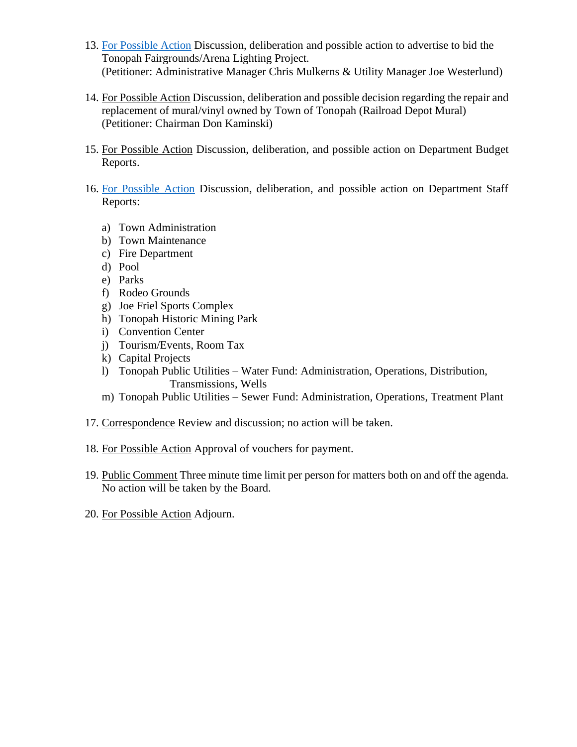- 13. [For Possible Action](https://www.tonopahnevada.com/agendas/backup-2021/1-13-2021-item-13.pdf) Discussion, deliberation and possible action to advertise to bid the Tonopah Fairgrounds/Arena Lighting Project. (Petitioner: Administrative Manager Chris Mulkerns & Utility Manager Joe Westerlund)
- 14. For Possible Action Discussion, deliberation and possible decision regarding the repair and replacement of mural/vinyl owned by Town of Tonopah (Railroad Depot Mural) (Petitioner: Chairman Don Kaminski)
- 15. For Possible Action Discussion, deliberation, and possible action on Department Budget Reports.
- 16. [For Possible Action](https://www.tonopahnevada.com/agendas/backup-2021/StaffReports-1-13-21.pdf) Discussion, deliberation, and possible action on Department Staff Reports:
	- a) Town Administration
	- b) Town Maintenance
	- c) Fire Department
	- d) Pool
	- e) Parks
	- f) Rodeo Grounds
	- g) Joe Friel Sports Complex
	- h) Tonopah Historic Mining Park
	- i) Convention Center
	- j) Tourism/Events, Room Tax
	- k) Capital Projects
	- l) Tonopah Public Utilities Water Fund: Administration, Operations, Distribution, Transmissions, Wells
	- m) Tonopah Public Utilities Sewer Fund: Administration, Operations, Treatment Plant
- 17. Correspondence Review and discussion; no action will be taken.
- 18. For Possible Action Approval of vouchers for payment.
- 19. Public Comment Three minute time limit per person for matters both on and off the agenda. No action will be taken by the Board.
- 20. For Possible Action Adjourn.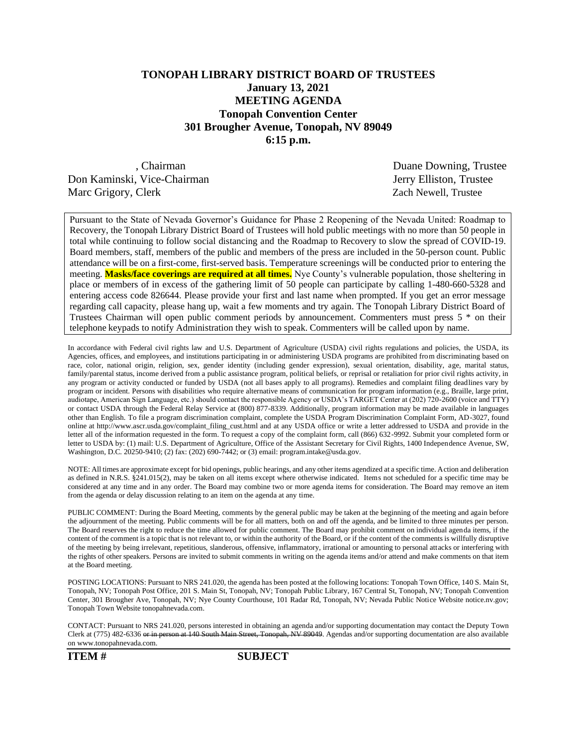# **TONOPAH LIBRARY DISTRICT BOARD OF TRUSTEES January 13, 2021 MEETING AGENDA Tonopah Convention Center 301 Brougher Avenue, Tonopah, NV 89049 6:15 p.m.**

Don Kaminski, Vice-Chairman Jerry Elliston, Trustee Marc Grigory, Clerk Zach Newell, Trustee

, Chairman Duane Downing, Trustee

Pursuant to the State of Nevada Governor's Guidance for Phase 2 Reopening of the Nevada United: Roadmap to Recovery, the Tonopah Library District Board of Trustees will hold public meetings with no more than 50 people in total while continuing to follow social distancing and the Roadmap to Recovery to slow the spread of COVID-19. Board members, staff, members of the public and members of the press are included in the 50-person count. Public attendance will be on a first-come, first-served basis. Temperature screenings will be conducted prior to entering the meeting. **Masks/face coverings are required at all times.** Nye County's vulnerable population, those sheltering in place or members of in excess of the gathering limit of 50 people can participate by calling 1-480-660-5328 and entering access code 826644. Please provide your first and last name when prompted. If you get an error message regarding call capacity, please hang up, wait a few moments and try again. The Tonopah Library District Board of Trustees Chairman will open public comment periods by announcement. Commenters must press 5 \* on their telephone keypads to notify Administration they wish to speak. Commenters will be called upon by name.

In accordance with Federal civil rights law and U.S. Department of Agriculture (USDA) civil rights regulations and policies, the USDA, its Agencies, offices, and employees, and institutions participating in or administering USDA programs are prohibited from discriminating based on race, color, national origin, religion, sex, gender identity (including gender expression), sexual orientation, disability, age, marital status, family/parental status, income derived from a public assistance program, political beliefs, or reprisal or retaliation for prior civil rights activity, in any program or activity conducted or funded by USDA (not all bases apply to all programs). Remedies and complaint filing deadlines vary by program or incident. Persons with disabilities who require alternative means of communication for program information (e.g., Braille, large print, audiotape, American Sign Language, etc.) should contact the responsible Agency or USDA's TARGET Center at (202) 720-2600 (voice and TTY) or contact USDA through the Federal Relay Service at (800) 877-8339. Additionally, program information may be made available in languages other than English. To file a program discrimination complaint, complete the USDA Program Discrimination Complaint Form, AD-3027, found online at http://www.ascr.usda.gov/complaint\_filing\_cust.html and at any USDA office or write a letter addressed to USDA and provide in the letter all of the information requested in the form. To request a copy of the complaint form, call (866) 632-9992. Submit your completed form or letter to USDA by: (1) mail: U.S. Department of Agriculture, Office of the Assistant Secretary for Civil Rights, 1400 Independence Avenue, SW, Washington, D.C. 20250-9410; (2) fax: (202) 690-7442; or (3) email: program.intake@usda.gov.

NOTE: All times are approximate except for bid openings, public hearings, and any other items agendized at a specific time. Action and deliberation as defined in N.R.S. §241.015(2), may be taken on all items except where otherwise indicated. Items not scheduled for a specific time may be considered at any time and in any order. The Board may combine two or more agenda items for consideration. The Board may remove an item from the agenda or delay discussion relating to an item on the agenda at any time.

PUBLIC COMMENT: During the Board Meeting, comments by the general public may be taken at the beginning of the meeting and again before the adjournment of the meeting. Public comments will be for all matters, both on and off the agenda, and be limited to three minutes per person. The Board reserves the right to reduce the time allowed for public comment. The Board may prohibit comment on individual agenda items, if the content of the comment is a topic that is not relevant to, or within the authority of the Board, or if the content of the comments is willfully disruptive of the meeting by being irrelevant, repetitious, slanderous, offensive, inflammatory, irrational or amounting to personal attacks or interfering with the rights of other speakers. Persons are invited to submit comments in writing on the agenda items and/or attend and make comments on that item at the Board meeting.

POSTING LOCATIONS: Pursuant to NRS 241.020, the agenda has been posted at the following locations: Tonopah Town Office, 140 S. Main St, Tonopah, NV; Tonopah Post Office, 201 S. Main St, Tonopah, NV; Tonopah Public Library, 167 Central St, Tonopah, NV; Tonopah Convention Center, 301 Brougher Ave, Tonopah, NV; Nye County Courthouse, 101 Radar Rd, Tonopah, NV; Nevada Public Notice Website notice.nv.gov; Tonopah Town Website tonopahnevada.com.

CONTACT: Pursuant to NRS 241.020, persons interested in obtaining an agenda and/or supporting documentation may contact the Deputy Town Clerk at (775) 482-6336 or in person at 140 South Main Street, Tonopah, NV 89049. Agendas and/or supporting documentation are also available on www.tonopahnevada.com.